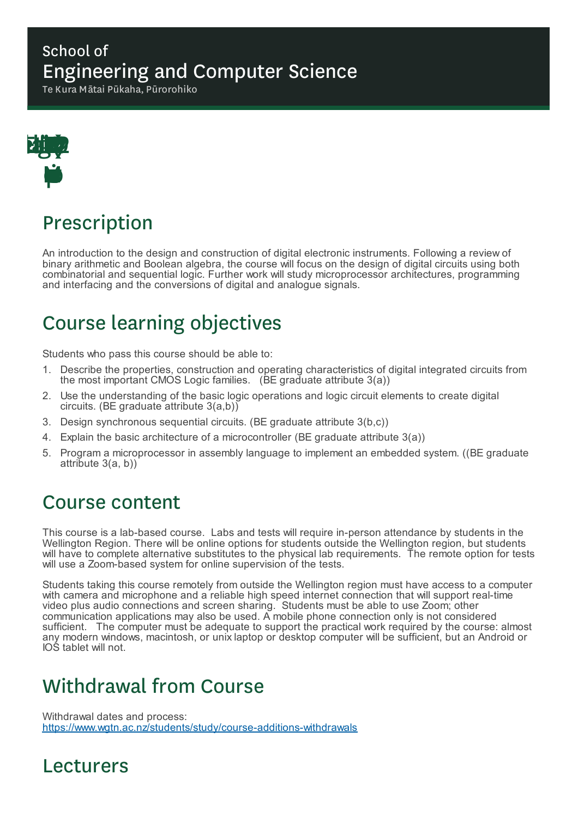### School of Engineering and Computer Science

Te Kura Mātai Pūkaha, Pūrorohiko



## Prescription

An introduction to the design and construction of digital electronic instruments. Following a review of binary arithmetic and Boolean algebra, the course will focus on the design of digital circuits using both combinatorial and sequential logic. Further work will study microprocessor architectures, programming and interfacing and the conversions of digital and analogue signals.

# Course learning objectives

Students who pass this course should be able to:

- 1. Describe the properties, construction and operating characteristics of digital integrated circuits from the most important CMOS Logic families. (BE graduate attribute 3(a))
- 2. Use the understanding of the basic logic operations and logic circuit elements to create digital circuits. (BE graduate attribute 3(a,b))
- 3. Design synchronous sequential circuits. (BE graduate attribute 3(b,c))
- 4. Explain the basic architecture of a microcontroller (BE graduate attribute 3(a))
- 5. Program a microprocessor in assembly language to implement an embedded system. ((BE graduate attribute 3(a, b))

## Course content

This course is a lab-based course. Labs and tests will require in-person attendance by students in the Wellington Region. There will be online options for students outside the Wellington region, but students will have to complete alternative substitutes to the physical lab requirements. The remote option for tests will use a Zoom-based system for online supervision of the tests.

Students taking this course remotely from outside the Wellington region must have access to a computer with camera and microphone and a reliable high speed internet connection that will support real-time video plus audio connections and screen sharing. Students must be able to use Zoom; other communication applications may also be used. A mobile phone connection only is not considered sufficient. The computer must be adequate to support the practical work required by the course: almost any modern windows, macintosh, or unix laptop or desktop computer will be sufficient, but an Android or IOS tablet will not.

## Withdrawal from Course

Withdrawal dates and process: https://www.wgtn.ac.nz/students/study/course-additions-withdrawals

## Lecturers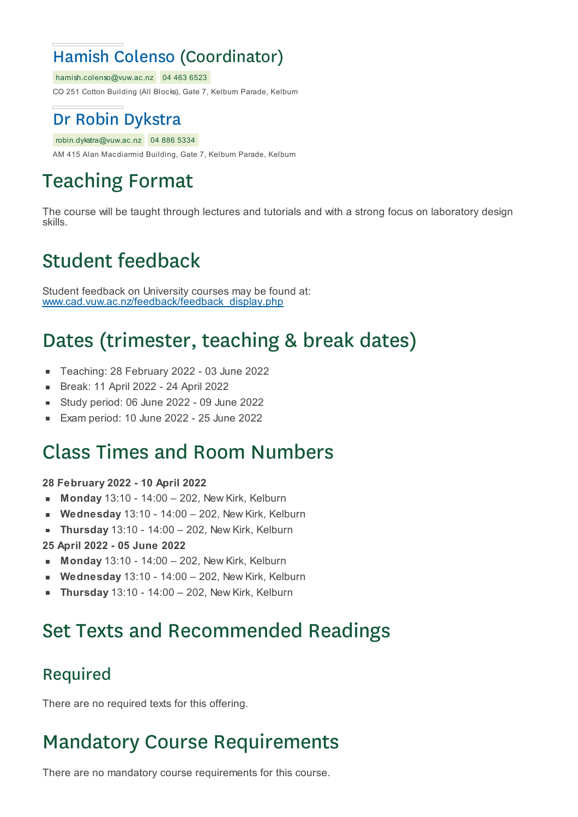## Hamish Colenso (Coordinator)

hamish.colenso@vuw.ac.nz 04 463 6523

CO 251 Cotton Building (All Blocks), Gate 7, Kelburn Parade, Kelburn

### Dr Robin Dykstra

#### robin.dykstra@vuw.ac.nz 04 886 5334

AM 415 Alan Macdiarmid Building, Gate 7, Kelburn Parade, Kelburn

# Teaching Format

The course will be taught through lectures and tutorials and with a strong focus on laboratory design skills.

## Student feedback

Student feedback on University courses may be found at: www.cad.vuw.ac.nz/feedback/feedback\_display.php

# Dates (trimester, teaching & break dates)

- Teaching: 28 February 2022 03 June 2022  $\blacksquare$
- Break: 11 April 2022 24 April 2022  $\blacksquare$
- Study period: 06 June 2022 09 June 2022
- Exam period: 10 June 2022 25 June 2022

## Class Times and Room Numbers

#### **28 February 2022 - 10 April 2022**

- **Monday** 13:10 14:00 202, New Kirk, Kelburn
- **Wednesday** 13:10 14:00 202, New Kirk, Kelburn
- **Thursday** 13:10 14:00 202, New Kirk, Kelburn  $\blacksquare$

#### **25 April 2022 - 05 June 2022**

- **Monday** 13:10 14:00 202, New Kirk, Kelburn
- **Wednesday** 13:10 14:00 202, New Kirk, Kelburn
- **Thursday** 13:10 14:00 202, New Kirk, Kelburn

## Set Texts and Recommended Readings

### Required

There are no required texts for this offering.

## Mandatory Course Requirements

There are no mandatory course requirements for this course.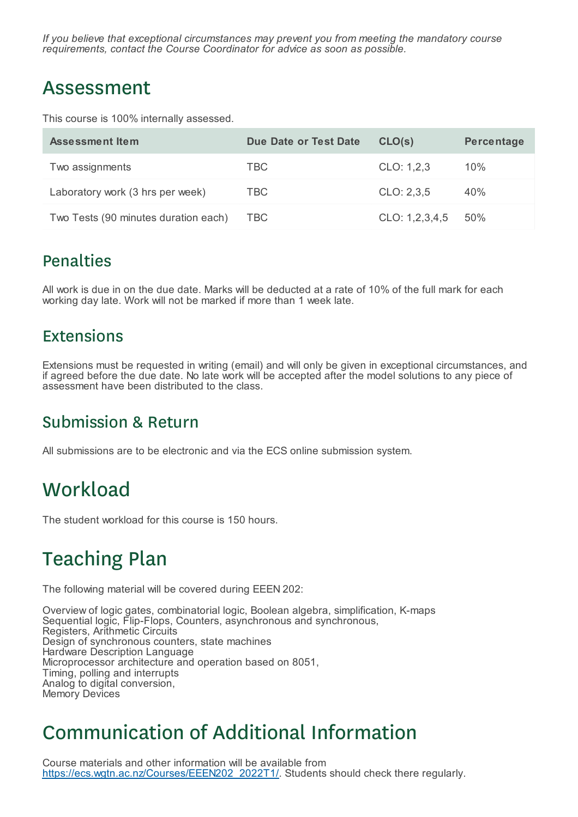*If you believe that exceptional circumstances may prevent you from meeting the mandatory course requirements, contact the Course Coordinator for advice as soon as possible.*

## Assessment

This course is 100% internally assessed.

| Assessment Item                      | <b>Due Date or Test Date</b> | CLO(s)         | Percentage |
|--------------------------------------|------------------------------|----------------|------------|
| Two assignments                      | TBC.                         | CLO: 1,2,3     | $10\%$     |
| Laboratory work (3 hrs per week)     | TBC.                         | CLO: 2,3,5     | 40%        |
| Two Tests (90 minutes duration each) | TBC                          | CLO: 1,2,3,4,5 | .50%       |

### Penalties

All work is due in on the due date. Marks will be deducted at a rate of 10% of the full mark for each working day late. Work will not be marked if more than 1 week late.

### **Extensions**

Extensions must be requested in writing (email) and will only be given in exceptional circumstances, and if agreed before the due date. No late work will be accepted after the model solutions to any piece of assessment have been distributed to the class.

### Submission & Return

All submissions are to be electronic and via the ECS online submission system.

## **Workload**

The student workload for this course is 150 hours.

## Teaching Plan

The following material will be covered during EEEN 202:

Overview of logic gates, combinatorial logic, Boolean algebra, simplification, K-maps Sequential logic, Flip-Flops, Counters, asynchronous and synchronous, Registers, Arithmetic Circuits Design of synchronous counters, state machines Hardware Description Language Microprocessor architecture and operation based on 8051, Timing, polling and interrupts Analog to digital conversion, Memory Devices

# Communication of Additional Information

Course materials and other information will be available from https://ecs.wgtn.ac.nz/Courses/EEEN202\_2022T1/. Students should check there regularly.